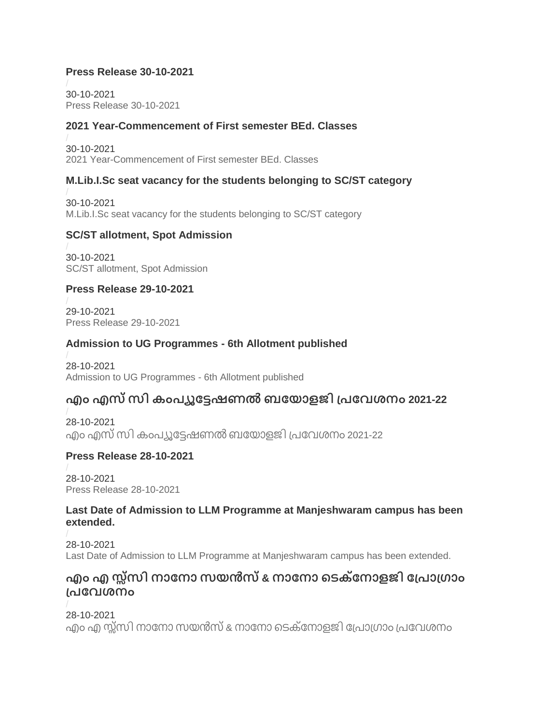### **Press Release 30-10-2021**

30-10-2021 [Press Release 30-10-2021](https://kannuruniversity.ac.in/media/documents/press_30-10-2021.pdf)

### **2021 Year-Commencement of First semester BEd. Classes**

30-10-2021 [2021 Year-Commencement of First semester BEd. Classes](https://kannuruniversity.ac.in/media/documents/bed_Ist_sem.pdf)

### **M.Lib.I.Sc seat vacancy for the students belonging to SC/ST category**

30-10-2021 [M.Lib.I.Sc seat vacancy for the students belonging to SC/ST category](https://kannuruniversity.ac.in/media/documents/seat_vacant_mlibsc.pdf)

### **SC/ST allotment, Spot Admission**

30-10-2021 [SC/ST allotment, Spot Admission](https://kannuruniversity.ac.in/media/documents/U.G.-SC-ST_allotmentSpot_admn.pdf)

### **Press Release 29-10-2021**

29-10-2021 [Press Release 29-10-2021](https://kannuruniversity.ac.in/media/documents/press_29-10-21.pdf)

### **Admission to UG Programmes - 6th Allotment published**

28-10-2021 [Admission to UG Programmes -](https://kannuruniversity.ac.in/media/documents/U.G-6th_allotment.pdf) 6th Allotment published

# **എം എസ്സി കംപ്യൂട്ടേഷണൽ ബട്ടയോളജി പ്പ്ട്ടവശനം 2021-22**

28-10-2021 എം എസ്സി [കംപ്യൂട്ടേഷണൽബട്ടയോളജി](https://kannuruniversity.ac.in/media/documents/MCB2021-22_SC-ST_notification.pdf) പ്പ്ട്ടവശനം 2021-22

### **Press Release 28-10-2021**

28-10-2021 [Press Release 28-10-2021](https://kannuruniversity.ac.in/media/documents/press_28-10-2021.pdf)

### **Last Date of Admission to LLM Programme at Manjeshwaram campus has been extended.**

28-10-2021 [Last Date of Admission to LLM Programme at Manjeshwaram campus has been extended.](https://kannuruniversity.ac.in/media/documents/Press_release_LLM.pdf)

## **എം എ സ്സ്സി നോട്ടനോ സയൻസ്& നോട്ടനോ ടെക്ട്ടനോളജി ട്ടപ്പ്ോപ്്ോം പ്പ്ട്ടവശനം**

28-10-2021 എം എ സ്ത്സി നാനോ സയൻസ് & നാനോ ടെക്നോളജി പ്രോഗ്രാം പ്രവേശനം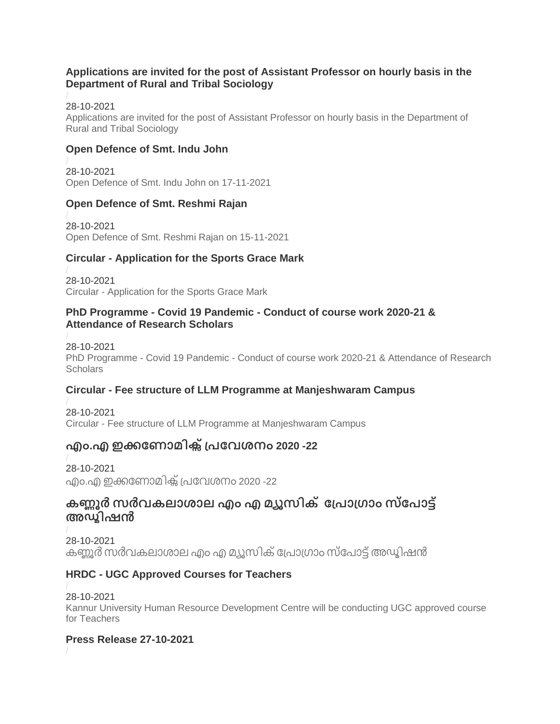### **Applications are invited for the post of Assistant Professor on hourly basis in the Department of Rural and Tribal Sociology**

### 28-10-2021

[Applications are invited for the post of Assistant Professor on hourly basis in the Department of](https://kannuruniversity.ac.in/media/documents/assistant_professor_rtbs.pdf)  [Rural and Tribal Sociology](https://kannuruniversity.ac.in/media/documents/assistant_professor_rtbs.pdf)

### **Open Defence of Smt. Indu John**

28-10-2021 [Open Defence of Smt. Indu John on 17-11-2021](https://kannuruniversity.ac.in/media/documents/indhu_john.pdf)

### **Open Defence of Smt. Reshmi Rajan**

28-10-2021 [Open Defence of Smt. Reshmi Rajan on 15-11-2021](https://kannuruniversity.ac.in/media/documents/reshmiraj.pdf)

### **Circular - Application for the Sports Grace Mark**

28-10-2021 Circular - [Application for the Sports Grace Mark](https://kannuruniversity.ac.in/media/documents/circular_dpe.pdf)

### **PhD Programme - Covid 19 Pandemic - Conduct of course work 2020-21 & Attendance of Research Scholars**

28-10-2021 PhD Programme - Covid 19 Pandemic - [Conduct of course work 2020-21 & Attendance of Research](https://kannuruniversity.ac.in/media/documents/circular_rd_28-10-2021.pdf)  **[Scholars](https://kannuruniversity.ac.in/media/documents/circular_rd_28-10-2021.pdf)** 

### **Circular - Fee structure of LLM Programme at Manjeshwaram Campus**

28-10-2021 Circular - [Fee structure of LLM Programme at Manjeshwaram Campus](https://kannuruniversity.ac.in/media/documents/Circular_LLM.pdf)

# **എം.എ ഇക്കട്ടണോമിക്്സപ്പ്ട്ടവശനം 2020 -22**

28-10-2021 എം.എ ഇക്കണോമിക്സ് പ്രവേശനം 2020 -22

## **കണ്ണൂർ സർവകലോശോല എം എ മയൂസിക്ട്ടപ്പ്ോപ്്ോം സ്ട്ടപ്ോേ് അഡ്ിമഷൻ**

28-10-2021 കണ്ണൂർ സർവകലാശാല എം എ മ്യൂസിക് പ്രോഗ്രാം സ്പോട്ട് അഡ്മിഷൻ

### **HRDC - UGC Approved Courses for Teachers**

28-10-2021 [Kannur University Human Resource Development Centre will be conducting UGC approved course](https://kannuruniversity.ac.in/media/documents/press_hrdc_27-10-2021.pdf)  [for Teachers](https://kannuruniversity.ac.in/media/documents/press_hrdc_27-10-2021.pdf)

### **Press Release 27-10-2021**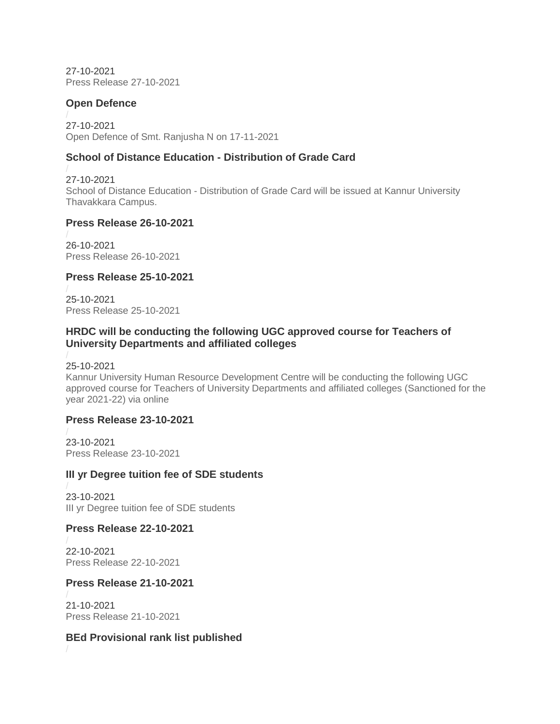27-10-2021 [Press Release 27-10-2021](https://kannuruniversity.ac.in/media/documents/press_release_27-10-2021.pdf)

### **Open Defence**

27-10-2021 [Open Defence of Smt. Ranjusha N on 17-11-2021](https://kannuruniversity.ac.in/media/documents/ranjusha.pdf)

### **School of Distance Education - Distribution of Grade Card**

27-10-2021 School of Distance Education - [Distribution of Grade Card will be issued at Kannur University](https://kannuruniversity.ac.in/media/documents/press_sde_27-10-2021.pdf)  [Thavakkara Campus.](https://kannuruniversity.ac.in/media/documents/press_sde_27-10-2021.pdf)

#### **Press Release 26-10-2021**

26-10-2021 [Press Release 26-10-2021](https://kannuruniversity.ac.in/media/documents/press_26-10-2021.pdf)

### **Press Release 25-10-2021**

25-10-2021 [Press Release 25-10-2021](https://kannuruniversity.ac.in/media/documents/press_25-10-2021.pdf)

### **HRDC will be conducting the following UGC approved course for Teachers of University Departments and affiliated colleges**

25-10-2021 [Kannur University Human Resource Development Centre will be conducting the following UGC](https://kannuruniversity.ac.in/media/documents/press_ugc_hrdc.pdf)  [approved course for Teachers of University Departments and affiliated colleges \(Sanctioned for the](https://kannuruniversity.ac.in/media/documents/press_ugc_hrdc.pdf)  [year 2021-22\) via online](https://kannuruniversity.ac.in/media/documents/press_ugc_hrdc.pdf)

### **Press Release 23-10-2021**

23-10-2021 [Press Release 23-10-2021](https://kannuruniversity.ac.in/media/documents/press_23-10-21.pdf)

### **III yr Degree tuition fee of SDE students**

23-10-2021 [III yr Degree tuition fee of SDE students](https://kannuruniversity.ac.in/media/documents/tuition_fees.pdf)

### **Press Release 22-10-2021**

22-10-2021 [Press Release 22-10-2021](https://kannuruniversity.ac.in/media/documents/press_22-10-2021.pdf)

### **Press Release 21-10-2021**

21-10-2021 [Press Release 21-10-2021](https://kannuruniversity.ac.in/media/documents/press_release_21-10-2021.pdf)

### **BEd Provisional rank list published**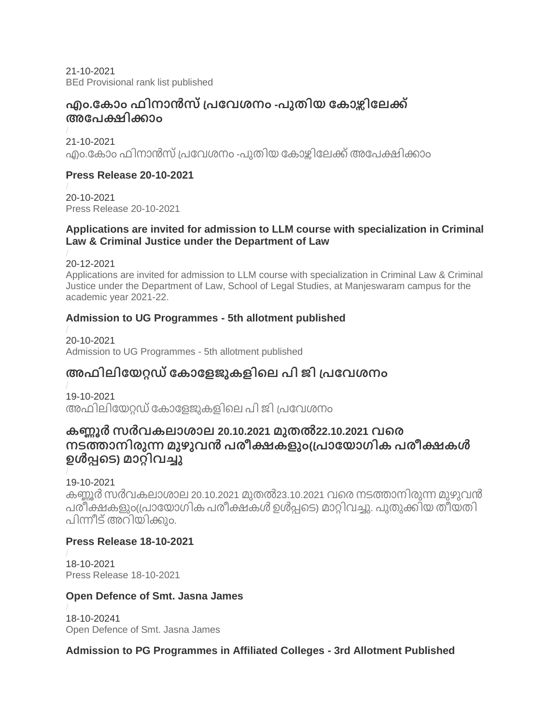21-10-2021 [BEd Provisional rank list published](https://kannuruniversity.ac.in/media/documents/B.Ed_rank_list_press_release.pdf)

## **എം.ട്ടകോം ഫിനോൻസ്പ്പ്ട്ടവശനം -പ്ുതിയ ട്ടകോഴ്ിസട്ടലക്ക് അട്ടപ്ക്ഷിക്കോം**

21-10-2021 എം.കോം ഫിനാൻസ് പ്രവേശനം -പുതിയ കോഴ്കിലേക്ക് അപേക്ഷിക്കാം

### **Press Release 20-10-2021**

20-10-2021 [Press Release 20-10-2021](https://kannuruniversity.ac.in/media/documents/prss_20-10-2021.pdf)

### **Applications are invited for admission to LLM course with specialization in Criminal Law & Criminal Justice under the Department of Law**

20-12-2021

[Applications are invited for admission to LLM course with specialization in Criminal Law & Criminal](https://kannuruniversity.ac.in/media/documents/Adm.notification.pdf)  [Justice under the Department of Law, School of Legal Studies, at Manjeswaram campus for the](https://kannuruniversity.ac.in/media/documents/Adm.notification.pdf)  [academic year 2021-22.](https://kannuruniversity.ac.in/media/documents/Adm.notification.pdf)

### **Admission to UG Programmes - 5th allotment published**

20-10-2021 [Admission to UG Programmes -](https://kannuruniversity.ac.in/media/documents/U.G.-5th_allotment.pdf) 5th allotment published

# **അഫിലിട്ടയറ്റഡ്ട്ടകോട്ടളജുകളിടല പ്ി ജി പ്പ്ട്ടവശനം**

19-10-2021 [അഫിലിട്ടയറ്റഡ്ട്ടകോട്ടളജുകളിടല](https://kannuruniversity.ac.in/media/documents/press_release_19-10-2021.pdf) പ്ി ജി പ്പ്ട്ടവശനം

## **കണ്ണൂർ സർവകലോശോല 20.10.2021 മുതൽ22.10.2021 വടര നെത്തോനിരുന്നമുഴുവൻ പ്രീക്ഷകളും(പ്പ്ോട്ടയോ്ിക പ്രീക്ഷകൾ ഉൾപ്പടെ) മോറ്റിവച്ചു**

19-10-2021

കണ്ണൂർ സർവകലാശാല 20.10.2021 മുതൽ23.10.2021 വരെ നടത്താനിരുന്ന മുഴുവൻ [പ്രീക്ഷകളും](https://kannuruniversity.ac.in/media/documents/knruty_exam_postponed.pdf)(പ്പ്ോട്ടയോ്ിക പ്രീക്ഷകൾ ഉൾപ്പടെ) മോറ്റിവച്ചു. പ്ുതുക്കിയ തീയതി പിന്നീട് അറിയിക്കും.

### **Press Release 18-10-2021**

18-10-2021 [Press Release 18-10-2021](https://kannuruniversity.ac.in/media/documents/18-10-2021.pdf)

## **Open Defence of Smt. Jasna James**

18-10-20241 [Open Defence of Smt. Jasna James](https://kannuruniversity.ac.in/media/documents/DJA.pdf)

## **Admission to PG Programmes in Affiliated Colleges - 3rd Allotment Published**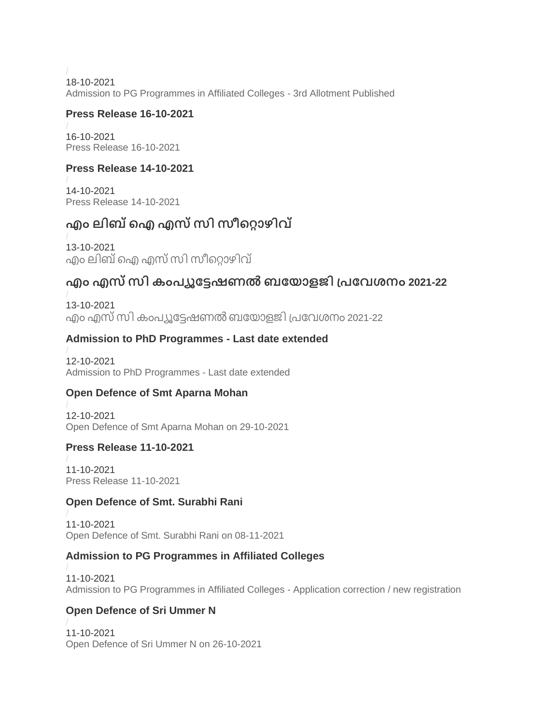18-10-2021

[Admission to PG Programmes in Affiliated Colleges -](https://kannuruniversity.ac.in/media/documents/Press_Release-SWC.pdf) 3rd Allotment Published

### **Press Release 16-10-2021**

16-10-2021 Press [Release 16-10-2021](https://kannuruniversity.ac.in/media/documents/press_16-10.pdf)

### **Press Release 14-10-2021**

14-10-2021 [Press Release 14-10-2021](https://kannuruniversity.ac.in/media/documents/press_14-10.pdf)

# **എം ലിബ്ഐഎസ്സി സീടറ്റോഴിവ്**

13-10-2021 എം [ലിബ്ഐഎസ്സി](https://kannuruniversity.ac.in/media/documents/Adobe_Scan_13_Oct_2021_1.pdf) സീടറ്റോഴിവ്

# **എം എസ്സി കംപ്യൂട്ടേഷണൽ ബട്ടയോളജി പ്പ്ട്ടവശനം 2021-22**

13-10-2021 എം എസ്സി [കംപ്യൂട്ടേഷണൽബട്ടയോളജി](https://kannuruniversity.ac.in/media/documents/MScCB_Admission_Notification.pdf) പ്പ്ട്ടവശനം 2021-22

## **Admission to PhD Programmes - Last date extended**

12-10-2021 [Admission to PhD Programmes -](https://kannuruniversity.ac.in/media/documents/phd_press.pdf) Last date extended

## **Open Defence of Smt Aparna Mohan**

12-10-2021 [Open Defence of Smt Aparna Mohan on 29-10-2021](https://kannuruniversity.ac.in/media/documents/A.MOHAN_PRESS.pdf)

### **Press Release 11-10-2021**

11-10-2021 [Press Release 11-10-2021](https://kannuruniversity.ac.in/media/documents/11-10-2021.pdf)

### **Open Defence of Smt. Surabhi Rani**

11-10-2021 [Open Defence of Smt. Surabhi Rani on 08-11-2021](https://kannuruniversity.ac.in/media/documents/surabhi.pres.pdf)

### **Admission to PG Programmes in Affiliated Colleges**

11-10-2021 [Admission to PG Programmes in Affiliated Colleges -](https://kannuruniversity.ac.in/media/documents/PG-press_release.pdf) Application correction / new registration

## **Open Defence of Sri Ummer N**

11-10-2021 [Open Defence of Sri Ummer N on 26-10-2021](https://kannuruniversity.ac.in/media/documents/press_release-Ummer_N-converted.pdf)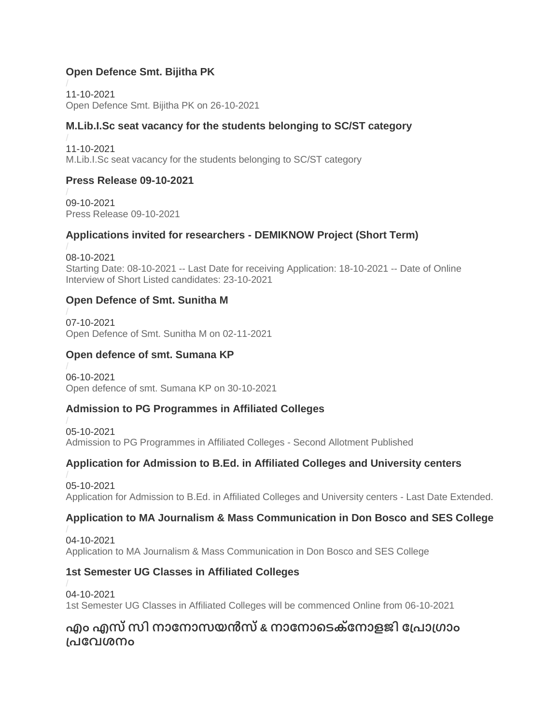### **Open Defence Smt. Bijitha PK**

11-10-2021 [Open Defence Smt. Bijitha PK on 26-10-2021](https://kannuruniversity.ac.in/media/documents/PRES_BIJI.pdf)

### **M.Lib.I.Sc seat vacancy for the students belonging to SC/ST category**

11-10-2021 [M.Lib.I.Sc seat vacancy for the students belonging to SC/ST category](https://kannuruniversity.ac.in/media/documents/vacancy_notification_1-converted.pdf)

### **Press Release 09-10-2021**

09-10-2021 [Press Release 09-10-2021](https://kannuruniversity.ac.in/media/documents/press_09-10-2021.pdf)

### **Applications invited for researchers - DEMIKNOW Project (Short Term)**

08-10-2021 Starting Date: 08-10-2021 -- [Last Date for receiving Application: 18-10-2021 --](https://kannuruniversity.ac.in/media/documents/Advertisement_-_Kannur_bxcEOwP.pdf) Date of Online [Interview of Short Listed candidates: 23-10-2021](https://kannuruniversity.ac.in/media/documents/Advertisement_-_Kannur_bxcEOwP.pdf)

### **Open Defence of Smt. Sunitha M**

07-10-2021 Open Defence [of Smt. Sunitha M on 02-11-2021](https://kannuruniversity.ac.in/media/documents/SUPRA.pdf)

### **Open defence of smt. Sumana KP**

06-10-2021 [Open defence of smt. Sumana KP on 30-10-2021](https://kannuruniversity.ac.in/media/documents/SUBA.pdf)

### **Admission to PG Programmes in Affiliated Colleges**

05-10-2021 [Admission to PG Programmes in Affiliated Colleges -](https://kannuruniversity.ac.in/media/documents/press_release_II_allotment.pdf) Second Allotment Published

### **Application for Admission to B.Ed. in Affiliated Colleges and University centers**

05-10-2021 [Application for Admission to B.Ed. in Affiliated Colleges and University centers -](https://kannuruniversity.ac.in/media/documents/Press_Release.pdf) Last Date Extended.

### **Application to MA Journalism & Mass Communication in Don Bosco and SES College**

04-10-2021 [Application to MA Journalism & Mass Communication in Don Bosco and SES College](https://kannuruniversity.ac.in/media/documents/press_rlse-maj.pdf)

## **1st Semester UG Classes in Affiliated Colleges**

04-10-2021 [1st Semester UG Classes in Affiliated Colleges will be commenced Online from 06-10-2021](https://kannuruniversity.ac.in/media/documents/press_rls-ug_1st_sem-2021.pdf)

# **എം എസ്സി നോട്ടനോസയൻസ്& നോട്ടനോടെകട്ട് നോളജി ട്ടപ്പ്ോപ്്ോം പ്പ്ട്ടവശനം**